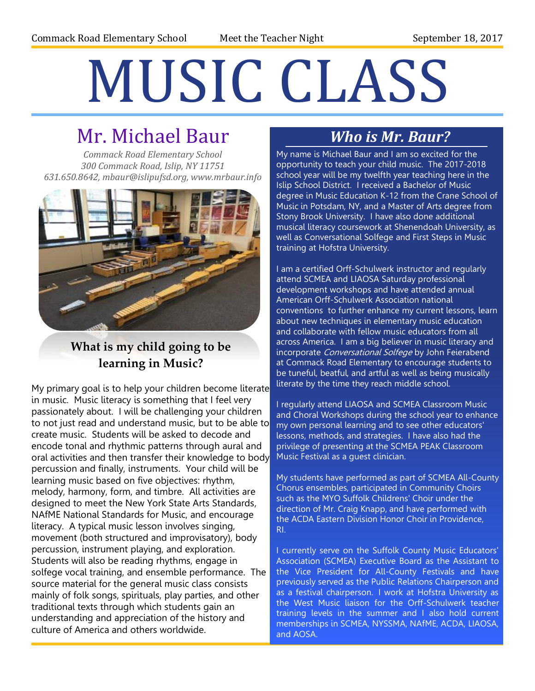# MUSIC CLASS

## Mr. Michael Baur

*Commack Road Elementary School 300 Commack Road, Islip, NY 11751 631.650.8642, mbaur@islipufsd.org, www.mrbaur.info*



#### **What is my child going to be learning in Music?**

My primary goal is to help your children become literate in music. Music literacy is something that I feel very passionately about. I will be challenging your children to not just read and understand music, but to be able to create music. Students will be asked to decode and encode tonal and rhythmic patterns through aural and oral activities and then transfer their knowledge to body percussion and finally, instruments. Your child will be learning music based on five objectives: rhythm, melody, harmony, form, and timbre. All activities are designed to meet the New York State Arts Standards, NAfME National Standards for Music, and encourage literacy. A typical music lesson involves singing, movement (both structured and improvisatory), body percussion, instrument playing, and exploration. Students will also be reading rhythms, engage in solfege vocal training, and ensemble performance. The source material for the general music class consists mainly of folk songs, spirituals, play parties, and other traditional texts through which students gain an understanding and appreciation of the history and culture of America and others worldwide.

#### *Who is Mr. Baur?*

My name is Michael Baur and I am so excited for the *?* opportunity to teach your child music. The 2017-2018 school year will be my twelfth year teaching here in the Islip School District. I received a Bachelor of Music degree in Music Education K-12 from the Crane School of Music in Potsdam, NY, and a Master of Arts degree from Stony Brook University. I have also done additional musical literacy coursework at Shenendoah University, as well as Conversational Solfege and First Steps in Music training at Hofstra University.

I am a certified Orff-Schulwerk instructor and regularly attend SCMEA and LIAOSA Saturday professional development workshops and have attended annual American Orff-Schulwerk Association national conventions to further enhance my current lessons, learn about new techniques in elementary music education and collaborate with fellow music educators from all across America. I am a big believer in music literacy and incorporate Conversational Solfege by John Feierabend at Commack Road Elementary to encourage students to be tuneful, beatful, and artful as well as being musically literate by the time they reach middle school.

I regularly attend LIAOSA and SCMEA Classroom Music and Choral Workshops during the school year to enhance my own personal learning and to see other educators' lessons, methods, and strategies. I have also had the privilege of presenting at the SCMEA PEAK Classroom Music Festival as a guest clinician.

My students have performed as part of SCMEA All-County Chorus ensembles, participated in Community Choirs such as the MYO Suffolk Childrens' Choir under the direction of Mr. Craig Knapp, and have performed with the ACDA Eastern Division Honor Choir in Providence, RI.

I currently serve on the Suffolk County Music Educators' Association (SCMEA) Executive Board as the Assistant to the Vice President for All-County Festivals and have previously served as the Public Relations Chairperson and as a festival chairperson. I work at Hofstra University as the West Music liaison for the Orff-Schulwerk teacher training levels in the summer and I also hold current memberships in SCMEA, NYSSMA, NAfME, ACDA, LIAOSA, and AOSA.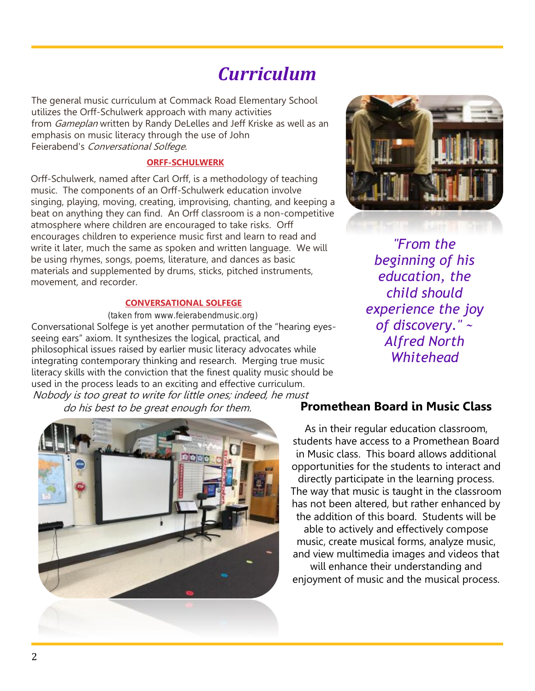## *Curriculum*

The general music curriculum at Commack Road Elementary School utilizes the Orff-Schulwerk approach with many activities from *Gameplan* written by Randy DeLelles and Jeff Kriske as well as an emphasis on music literacy through the use of John Feierabend's Conversational Solfege.

#### **ORFF-SCHULWERK**

Orff-Schulwerk, named after Carl Orff, is a methodology of teaching music. The components of an Orff-Schulwerk education involve singing, playing, moving, creating, improvising, chanting, and keeping a beat on anything they can find. An Orff classroom is a non-competitive atmosphere where children are encouraged to take risks. Orff encourages children to experience music first and learn to read and write it later, much the same as spoken and written language. We will be using rhymes, songs, poems, literature, and dances as basic materials and supplemented by drums, sticks, pitched instruments, movement, and recorder.

#### **CONVERSATIONAL SOLFEGE**

(taken from [www.feierabendmusic.org\)](http://www.feierabendmusic.org/) Conversational Solfege is yet another permutation of the "hearing eyesseeing ears" axiom. It synthesizes the logical, practical, and philosophical issues raised by earlier music literacy advocates while integrating contemporary thinking and research. Merging true music literacy skills with the conviction that the finest quality music should be used in the process leads to an exciting and effective curriculum. Nobody is too great to write for little ones; indeed, he must do his best to be great enough for them.





*"From the beginning of his education, the child should experience the joy of discovery." ~ Alfred North Whitehead*

#### **Promethean Board in Music Class**

As in their regular education classroom, students have access to a Promethean Board in Music class. This board allows additional opportunities for the students to interact and directly participate in the learning process. The way that music is taught in the classroom has not been altered, but rather enhanced by the addition of this board. Students will be able to actively and effectively compose music, create musical forms, analyze music, and view multimedia images and videos that will enhance their understanding and enjoyment of music and the musical process.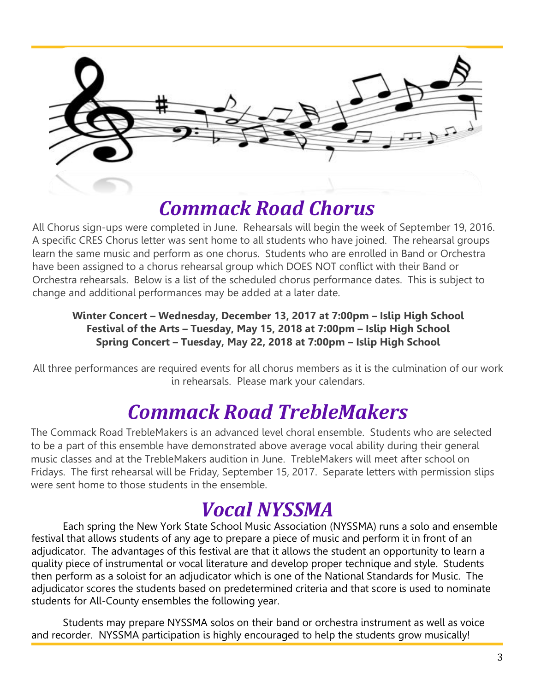

## *Commack Road Chorus*

All Chorus sign-ups were completed in June. Rehearsals will begin the week of September 19, 2016. A specific CRES Chorus letter was sent home to all students who have joined. The rehearsal groups learn the same music and perform as one chorus. Students who are enrolled in Band or Orchestra have been assigned to a chorus rehearsal group which DOES NOT conflict with their Band or Orchestra rehearsals. Below is a list of the scheduled chorus performance dates. This is subject to change and additional performances may be added at a later date.

#### **Winter Concert – Wednesday, December 13, 2017 at 7:00pm – Islip High School Festival of the Arts – Tuesday, May 15, 2018 at 7:00pm – Islip High School Spring Concert – Tuesday, May 22, 2018 at 7:00pm – Islip High School**

All three performances are required events for all chorus members as it is the culmination of our work in rehearsals. Please mark your calendars.

## *Commack Road TrebleMakers*

The Commack Road TrebleMakers is an advanced level choral ensemble. Students who are selected to be a part of this ensemble have demonstrated above average vocal ability during their general music classes and at the TrebleMakers audition in June. TrebleMakers will meet after school on Fridays. The first rehearsal will be Friday, September 15, 2017. Separate letters with permission slips were sent home to those students in the ensemble.

# *Vocal NYSSMA*

Each spring the New York State School Music Association (NYSSMA) runs a solo and ensemble festival that allows students of any age to prepare a piece of music and perform it in front of an adjudicator. The advantages of this festival are that it allows the student an opportunity to learn a quality piece of instrumental or vocal literature and develop proper technique and style. Students then perform as a soloist for an adjudicator which is one of the National Standards for Music. The adjudicator scores the students based on predetermined criteria and that score is used to nominate students for All-County ensembles the following year.

Students may prepare NYSSMA solos on their band or orchestra instrument as well as voice and recorder. NYSSMA participation is highly encouraged to help the students grow musically!